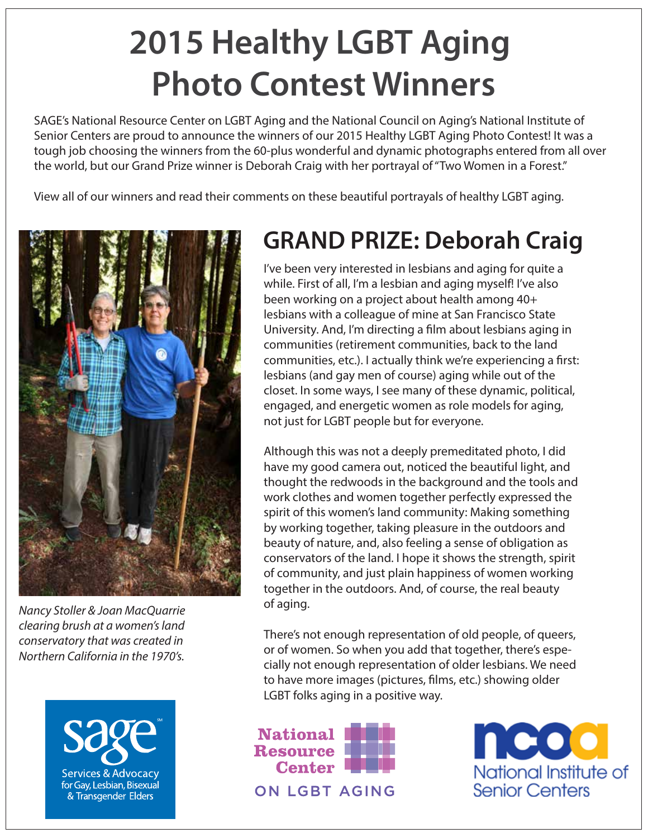# **2015 Healthy LGBT Aging Photo Contest Winners**

SAGE's National Resource Center on LGBT Aging and the National Council on Aging's National Institute of Senior Centers are proud to announce the winners of our 2015 Healthy LGBT Aging Photo Contest! It was a tough job choosing the winners from the 60-plus wonderful and dynamic photographs entered from all over the world, but our Grand Prize winner is Deborah Craig with her portrayal of "Two Women in a Forest."

View all of our winners and read their comments on these beautiful portrayals of healthy LGBT aging.



*Nancy Stoller & Joan MacQuarrie clearing brush at a women's land conservatory that was created in Northern California in the 1970's.*

Services & Advocacy for Gay, Lesbian, Bisexual & Transgender Elders

### **GRAND PRIZE: Deborah Craig**

I've been very interested in lesbians and aging for quite a while. First of all, I'm a lesbian and aging myself! I've also been working on a project about health among 40+ lesbians with a colleague of mine at San Francisco State University. And, I'm directing a film about lesbians aging in communities (retirement communities, back to the land communities, etc.). I actually think we're experiencing a first: lesbians (and gay men of course) aging while out of the closet. In some ways, I see many of these dynamic, political, engaged, and energetic women as role models for aging, not just for LGBT people but for everyone.

Although this was not a deeply premeditated photo, I did have my good camera out, noticed the beautiful light, and thought the redwoods in the background and the tools and work clothes and women together perfectly expressed the spirit of this women's land community: Making something by working together, taking pleasure in the outdoors and beauty of nature, and, also feeling a sense of obligation as conservators of the land. I hope it shows the strength, spirit of community, and just plain happiness of women working together in the outdoors. And, of course, the real beauty of aging.

There's not enough representation of old people, of queers, or of women. So when you add that together, there's especially not enough representation of older lesbians. We need to have more images (pictures, films, etc.) showing older LGBT folks aging in a positive way.



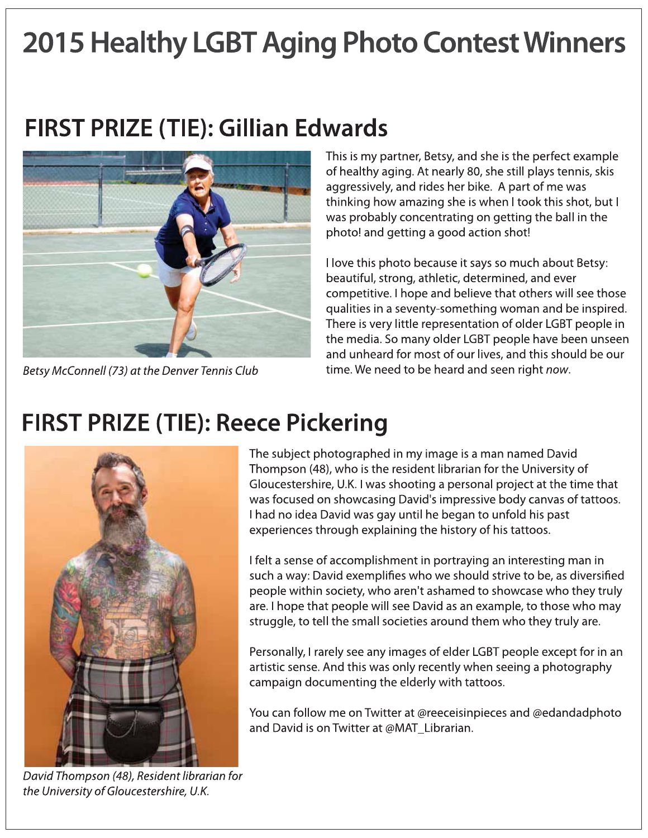# **2015 Healthy LGBT Aging Photo Contest Winners**

#### FIRST PRIZE (TIE): Gillian Edwards



Betsy McConnell (73) at the Denver Tennis Club

This is my partner, Betsy, and she is the perfect example of healthy aging. At nearly 80, she still plays tennis, skis aggressively, and rides her bike. A part of me was thinking how amazing she is when I took this shot, but I was probably concentrating on getting the ball in the photo! and getting a good action shot!

I love this photo because it says so much about Betsy: beautiful, strong, athletic, determined, and ever competitive. I hope and believe that others will see those qualities in a seventy-something woman and be inspired. There is very little representation of older LGBT people in the media. So many older LGBT people have been unseen and unheard for most of our lives, and this should be our time. We need to be heard and seen right now.

#### **FIRST PRIZE (TIE): Reece Pickering**



The subject photographed in my image is a man named David Thompson (48), who is the resident librarian for the University of Gloucestershire, U.K. I was shooting a personal project at the time that was focused on showcasing David's impressive body canvas of tattoos. I had no idea David was gay until he began to unfold his past experiences through explaining the history of his tattoos.

I felt a sense of accomplishment in portraying an interesting man in such a way: David exemplifies who we should strive to be, as diversified people within society, who aren't ashamed to showcase who they truly are. I hope that people will see David as an example, to those who may struggle, to tell the small societies around them who they truly are.

Personally, I rarely see any images of elder LGBT people except for in an artistic sense. And this was only recently when seeing a photography campaign documenting the elderly with tattoos.

You can follow me on Twitter at @reeceisinpieces and @edandadphoto and David is on Twitter at @MAT\_Librarian.

David Thompson (48), Resident librarian for the University of Gloucestershire, U.K.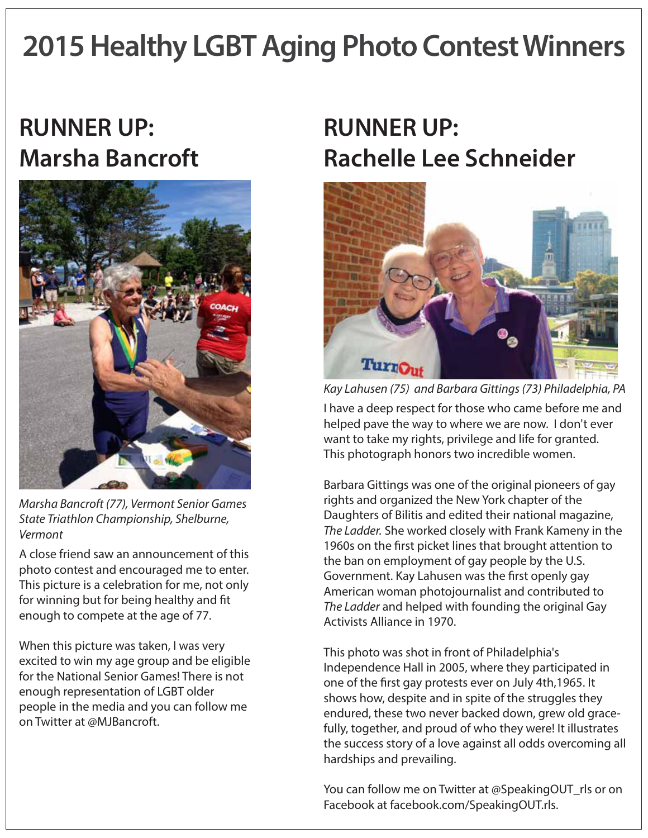# **2015 Healthy LGBT Aging Photo Contest Winners**

#### **RUNNER UP: Marsha Bancroft**



*Marsha Bancroft (77), Vermont Senior Games State Triathlon Championship, Shelburne, Vermont*

A close friend saw an announcement of this photo contest and encouraged me to enter. This picture is a celebration for me, not only for winning but for being healthy and fit enough to compete at the age of 77.

When this picture was taken, I was very excited to win my age group and be eligible for the National Senior Games! There is not enough representation of LGBT older people in the media and you can follow me on Twitter at @MJBancroft.

### **RUNNER UP: Rachelle Lee Schneider**



I have a deep respect for those who came before me and helped pave the way to where we are now. I don't ever want to take my rights, privilege and life for granted. This photograph honors two incredible women. *Kay Lahusen (75) and Barbara Gittings (73) Philadelphia, PA*

Barbara Gittings was one of the original pioneers of gay rights and organized the New York chapter of the Daughters of Bilitis and edited their national magazine, *The Ladder.* She worked closely with Frank Kameny in the 1960s on the first picket lines that brought attention to the ban on employment of gay people by the U.S. Government. Kay Lahusen was the first openly gay American woman photojournalist and contributed to *The Ladder* and helped with founding the original Gay Activists Alliance in 1970.

This photo was shot in front of Philadelphia's Independence Hall in 2005, where they participated in one of the first gay protests ever on July 4th,1965. It shows how, despite and in spite of the struggles they endured, these two never backed down, grew old gracefully, together, and proud of who they were! It illustrates the success story of a love against all odds overcoming all hardships and prevailing.

You can follow me on Twitter at @SpeakingOUT\_rls or on Facebook at facebook.com/SpeakingOUT.rls.